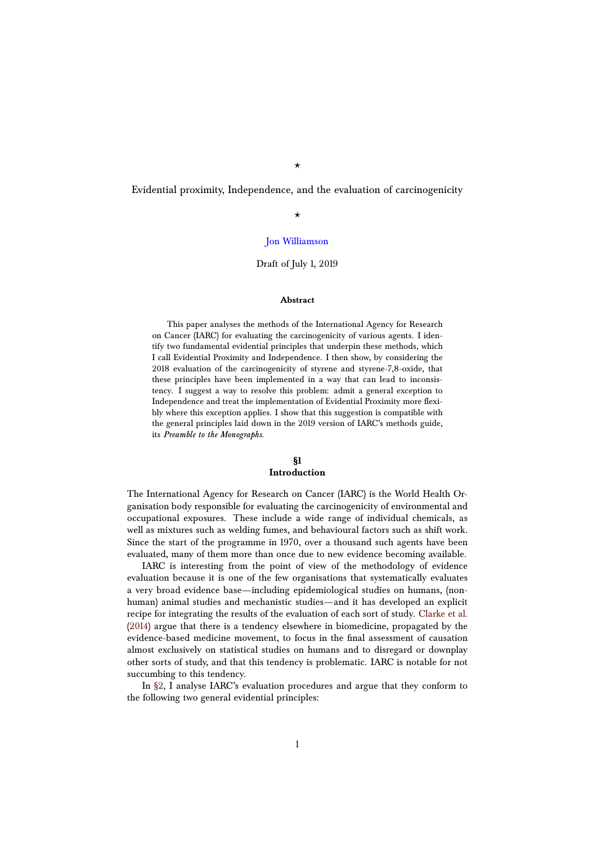$\star$ 

Evidential proximity, Independence, and the evaluation of carcinogenicity

### $\star$

### [Jon Williamson](http://blogs.kent.ac.uk/jonw/)

#### Draft of July 1, 2019

#### **Abstract**

This paper analyses the methods of the International Agency for Research on Cancer (IARC) for evaluating the carcinogenicity of various agents. I identify two fundamental evidential principles that underpin these methods, which I call Evidential Proximity and Independence. I then show, by considering the 2018 evaluation of the carcinogenicity of styrene and styrene-7,8-oxide, that these principles have been implemented in a way that can lead to inconsistency. I suggest a way to resolve this problem: admit a general exception to Independence and treat the implementation of Evidential Proximity more flexibly where this exception applies. I show that this suggestion is compatible with the general principles laid down in the 2019 version of IARC's methods guide, its *Preamble to the Monographs*.

#### **§1 Introduction**

The International Agency for Research on Cancer (IARC) is the World Health Organisation body responsible for evaluating the carcinogenicity of environmental and occupational exposures. These include a wide range of individual chemicals, as well as mixtures such as welding fumes, and behavioural factors such as shift work. Since the start of the programme in 1970, over a thousand such agents have been evaluated, many of them more than once due to new evidence becoming available.

IARC is interesting from the point of view of the methodology of evidence evaluation because it is one of the few organisations that systematically evaluates a very broad evidence base—including epidemiological studies on humans, (nonhuman) animal studies and mechanistic studies—and it has developed an explicit recipe for integrating the results of the evaluation of each sort of study. [Clarke et al.](#page-11-0) [\(2014\)](#page-11-0) argue that there is a tendency elsewhere in biomedicine, propagated by the evidence-based medicine movement, to focus in the final assessment of causation almost exclusively on statistical studies on humans and to disregard or downplay other sorts of study, and that this tendency is problematic. IARC is notable for not succumbing to this tendency.

In [§2,](#page-1-0) I analyse IARC's evaluation procedures and argue that they conform to the following two general evidential principles: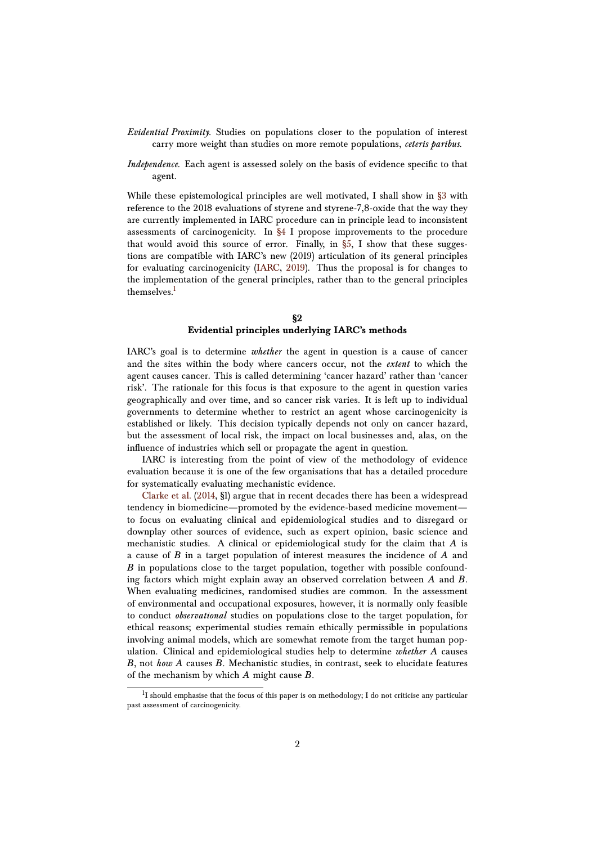- *Evidential Proximity.* Studies on populations closer to the population of interest carry more weight than studies on more remote populations, *ceteris paribus*.
- *Independence.* Each agent is assessed solely on the basis of evidence specific to that agent.

While these epistemological principles are well motivated, I shall show in [§3](#page-6-0) with reference to the 2018 evaluations of styrene and styrene-7,8-oxide that the way they are currently implemented in IARC procedure can in principle lead to inconsistent assessments of carcinogenicity. In [§4](#page-6-1) I propose improvements to the procedure that would avoid this source of error. Finally, in  $\S5$ , I show that these suggestions are compatible with IARC's new (2019) articulation of its general principles for evaluating carcinogenicity [\(IARC,](#page-11-1) [2019\)](#page-11-1). Thus the proposal is for changes to the implementation of the general principles, rather than to the general principles themselves.<sup>[1](#page-1-1)</sup>

### **§2 Evidential principles underlying IARC's methods**

<span id="page-1-0"></span>IARC's goal is to determine *whether* the agent in question is a cause of cancer and the sites within the body where cancers occur, not the *extent* to which the agent causes cancer. This is called determining 'cancer hazard' rather than 'cancer risk'. The rationale for this focus is that exposure to the agent in question varies geographically and over time, and so cancer risk varies. It is left up to individual governments to determine whether to restrict an agent whose carcinogenicity is established or likely. This decision typically depends not only on cancer hazard, but the assessment of local risk, the impact on local businesses and, alas, on the influence of industries which sell or propagate the agent in question.

IARC is interesting from the point of view of the methodology of evidence evaluation because it is one of the few organisations that has a detailed procedure for systematically evaluating mechanistic evidence.

[Clarke et al.](#page-11-0) [\(2014,](#page-11-0) §1) argue that in recent decades there has been a widespread tendency in biomedicine—promoted by the evidence-based medicine movement to focus on evaluating clinical and epidemiological studies and to disregard or downplay other sources of evidence, such as expert opinion, basic science and mechanistic studies. A clinical or epidemiological study for the claim that *A* is a cause of *B* in a target population of interest measures the incidence of *A* and *B* in populations close to the target population, together with possible confounding factors which might explain away an observed correlation between *A* and *B*. When evaluating medicines, randomised studies are common. In the assessment of environmental and occupational exposures, however, it is normally only feasible to conduct *observational* studies on populations close to the target population, for ethical reasons; experimental studies remain ethically permissible in populations involving animal models, which are somewhat remote from the target human population. Clinical and epidemiological studies help to determine *whether A* causes *B*, not *how A* causes *B*. Mechanistic studies, in contrast, seek to elucidate features of the mechanism by which *A* might cause *B*.

<span id="page-1-1"></span> $^{1}$ I should emphasise that the focus of this paper is on methodology; I do not criticise any particular past assessment of carcinogenicity.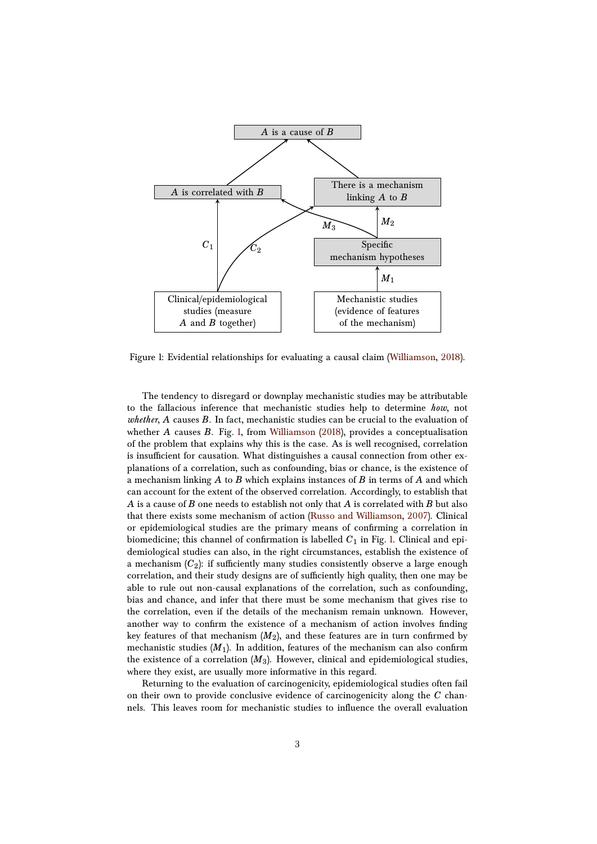

<span id="page-2-0"></span>Figure 1: Evidential relationships for evaluating a causal claim [\(Williamson,](#page-12-0) [2018\)](#page-12-0).

The tendency to disregard or downplay mechanistic studies may be attributable to the fallacious inference that mechanistic studies help to determine *how*, not *whether*, *A* causes *B*. In fact, mechanistic studies can be crucial to the evaluation of whether *A* causes *B*. Fig. [1,](#page-2-0) from [Williamson](#page-12-0) [\(2018\)](#page-12-0), provides a conceptualisation of the problem that explains why this is the case. As is well recognised, correlation is insufficient for causation. What distinguishes a causal connection from other explanations of a correlation, such as confounding, bias or chance, is the existence of a mechanism linking *A* to *B* which explains instances of *B* in terms of *A* and which can account for the extent of the observed correlation. Accordingly, to establish that *A* is a cause of *B* one needs to establish not only that *A* is correlated with *B* but also that there exists some mechanism of action [\(Russo and Williamson,](#page-11-2) [2007\)](#page-11-2). Clinical or epidemiological studies are the primary means of confirming a correlation in biomedicine; this channel of confirmation is labelled  $C_1$  in Fig. [1.](#page-2-0) Clinical and epidemiological studies can also, in the right circumstances, establish the existence of a mechanism  $(C_2)$ : if sufficiently many studies consistently observe a large enough correlation, and their study designs are of sufficiently high quality, then one may be able to rule out non-causal explanations of the correlation, such as confounding, bias and chance, and infer that there must be some mechanism that gives rise to the correlation, even if the details of the mechanism remain unknown. However, another way to confirm the existence of a mechanism of action involves finding key features of that mechanism  $(M_2)$ , and these features are in turn confirmed by mechanistic studies  $(M_1)$ . In addition, features of the mechanism can also confirm the existence of a correlation  $(M_3)$ . However, clinical and epidemiological studies, where they exist, are usually more informative in this regard.

Returning to the evaluation of carcinogenicity, epidemiological studies often fail on their own to provide conclusive evidence of carcinogenicity along the *C* channels. This leaves room for mechanistic studies to influence the overall evaluation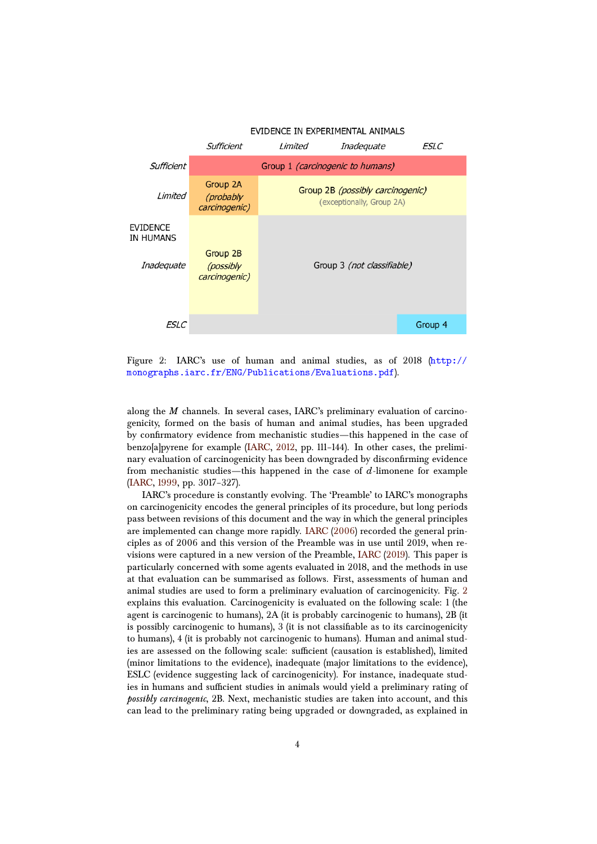

<span id="page-3-0"></span>Figure 2: IARC's use of human and animal studies, as of 2018 ([http://](http://monographs.iarc.fr/ENG/Publications/Evaluations.pdf) [monographs.iarc.fr/ENG/Publications/Evaluations.pdf](http://monographs.iarc.fr/ENG/Publications/Evaluations.pdf)).

along the *M* channels. In several cases, IARC's preliminary evaluation of carcinogenicity, formed on the basis of human and animal studies, has been upgraded by confirmatory evidence from mechanistic studies—this happened in the case of benzo[a]pyrene for example [\(IARC,](#page-11-3) [2012,](#page-11-3) pp. 111–144). In other cases, the preliminary evaluation of carcinogenicity has been downgraded by disconfirming evidence from mechanistic studies—this happened in the case of *d*-limonene for example [\(IARC,](#page-11-4) [1999,](#page-11-4) pp. 3017–327).

IARC's procedure is constantly evolving. The 'Preamble' to IARC's monographs on carcinogenicity encodes the general principles of its procedure, but long periods pass between revisions of this document and the way in which the general principles are implemented can change more rapidly. [IARC](#page-11-5) [\(2006\)](#page-11-5) recorded the general principles as of 2006 and this version of the Preamble was in use until 2019, when revisions were captured in a new version of the Preamble, [IARC](#page-11-1) [\(2019\)](#page-11-1). This paper is particularly concerned with some agents evaluated in 2018, and the methods in use at that evaluation can be summarised as follows. First, assessments of human and animal studies are used to form a preliminary evaluation of carcinogenicity. Fig. [2](#page-3-0) explains this evaluation. Carcinogenicity is evaluated on the following scale: 1 (the agent is carcinogenic to humans), 2A (it is probably carcinogenic to humans), 2B (it is possibly carcinogenic to humans), 3 (it is not classifiable as to its carcinogenicity to humans), 4 (it is probably not carcinogenic to humans). Human and animal studies are assessed on the following scale: sufficient (causation is established), limited (minor limitations to the evidence), inadequate (major limitations to the evidence), ESLC (evidence suggesting lack of carcinogenicity). For instance, inadequate studies in humans and sufficient studies in animals would yield a preliminary rating of *possibly carcinogenic*, 2B. Next, mechanistic studies are taken into account, and this can lead to the preliminary rating being upgraded or downgraded, as explained in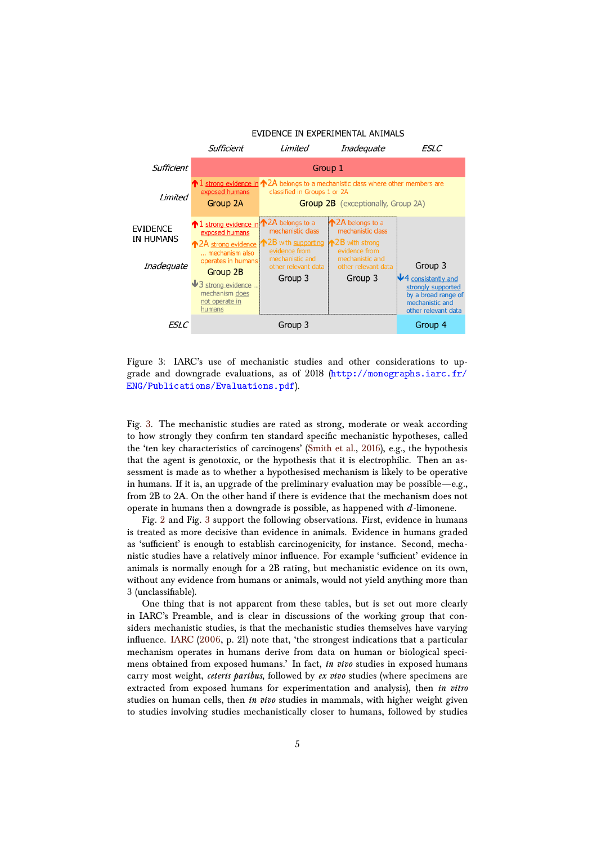

<span id="page-4-0"></span>Figure 3: IARC's use of mechanistic studies and other considerations to upgrade and downgrade evaluations, as of 2018  $(\text{http://monographs.iarc.fr/})$  $(\text{http://monographs.iarc.fr/})$  $(\text{http://monographs.iarc.fr/})$ [ENG/Publications/Evaluations.pdf](http://monographs.iarc.fr/ENG/Publications/Evaluations.pdf)).

Fig. [3.](#page-4-0) The mechanistic studies are rated as strong, moderate or weak according to how strongly they confirm ten standard specific mechanistic hypotheses, called the 'ten key characteristics of carcinogens' [\(Smith et al.,](#page-11-6) [2016\)](#page-11-6), e.g., the hypothesis that the agent is genotoxic, or the hypothesis that it is electrophilic. Then an assessment is made as to whether a hypothesised mechanism is likely to be operative in humans. If it is, an upgrade of the preliminary evaluation may be possible—e.g., from 2B to 2A. On the other hand if there is evidence that the mechanism does not operate in humans then a downgrade is possible, as happened with *d*-limonene.

Fig. [2](#page-3-0) and Fig. [3](#page-4-0) support the following observations. First, evidence in humans is treated as more decisive than evidence in animals. Evidence in humans graded as 'sufficient' is enough to establish carcinogenicity, for instance. Second, mechanistic studies have a relatively minor influence. For example 'sufficient' evidence in animals is normally enough for a 2B rating, but mechanistic evidence on its own, without any evidence from humans or animals, would not yield anything more than 3 (unclassifiable).

One thing that is not apparent from these tables, but is set out more clearly in IARC's Preamble, and is clear in discussions of the working group that considers mechanistic studies, is that the mechanistic studies themselves have varying influence. [IARC](#page-11-5) [\(2006,](#page-11-5) p. 21) note that, 'the strongest indications that a particular mechanism operates in humans derive from data on human or biological specimens obtained from exposed humans.' In fact, *in vivo* studies in exposed humans carry most weight, *ceteris paribus*, followed by *ex vivo* studies (where specimens are extracted from exposed humans for experimentation and analysis), then *in vitro* studies on human cells, then *in vivo* studies in mammals, with higher weight given to studies involving studies mechanistically closer to humans, followed by studies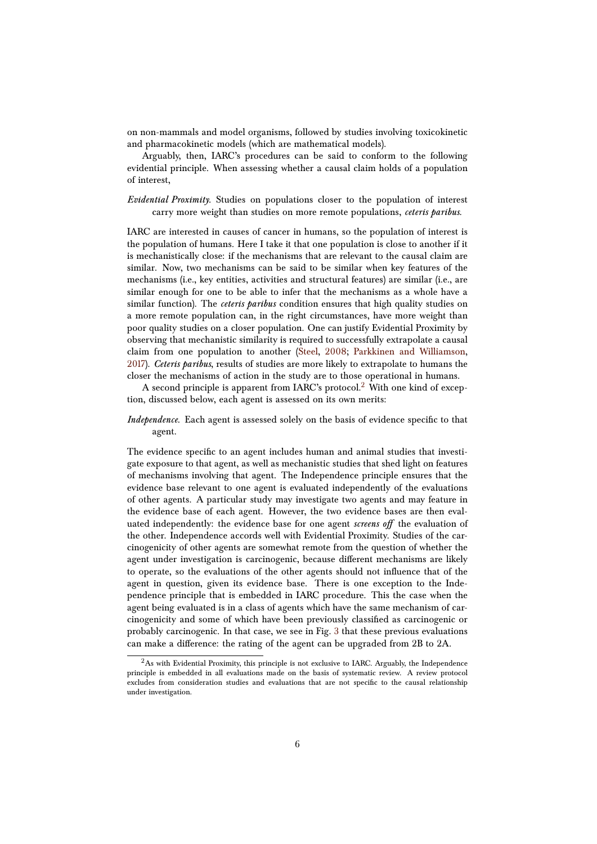on non-mammals and model organisms, followed by studies involving toxicokinetic and pharmacokinetic models (which are mathematical models).

Arguably, then, IARC's procedures can be said to conform to the following evidential principle. When assessing whether a causal claim holds of a population of interest,

*Evidential Proximity.* Studies on populations closer to the population of interest carry more weight than studies on more remote populations, *ceteris paribus*.

IARC are interested in causes of cancer in humans, so the population of interest is the population of humans. Here I take it that one population is close to another if it is mechanistically close: if the mechanisms that are relevant to the causal claim are similar. Now, two mechanisms can be said to be similar when key features of the mechanisms (i.e., key entities, activities and structural features) are similar (i.e., are similar enough for one to be able to infer that the mechanisms as a whole have a similar function). The *ceteris paribus* condition ensures that high quality studies on a more remote population can, in the right circumstances, have more weight than poor quality studies on a closer population. One can justify Evidential Proximity by observing that mechanistic similarity is required to successfully extrapolate a causal claim from one population to another [\(Steel,](#page-12-1) [2008;](#page-12-1) [Parkkinen and Williamson,](#page-11-7) [2017\)](#page-11-7). *Ceteris paribus*, results of studies are more likely to extrapolate to humans the closer the mechanisms of action in the study are to those operational in humans.

A second principle is apparent from IARC's protocol.<sup>[2](#page-5-0)</sup> With one kind of exception, discussed below, each agent is assessed on its own merits:

#### *Independence.* Each agent is assessed solely on the basis of evidence specific to that agent.

The evidence specific to an agent includes human and animal studies that investigate exposure to that agent, as well as mechanistic studies that shed light on features of mechanisms involving that agent. The Independence principle ensures that the evidence base relevant to one agent is evaluated independently of the evaluations of other agents. A particular study may investigate two agents and may feature in the evidence base of each agent. However, the two evidence bases are then evaluated independently: the evidence base for one agent *screens off* the evaluation of the other. Independence accords well with Evidential Proximity. Studies of the carcinogenicity of other agents are somewhat remote from the question of whether the agent under investigation is carcinogenic, because different mechanisms are likely to operate, so the evaluations of the other agents should not influence that of the agent in question, given its evidence base. There is one exception to the Independence principle that is embedded in IARC procedure. This the case when the agent being evaluated is in a class of agents which have the same mechanism of carcinogenicity and some of which have been previously classified as carcinogenic or probably carcinogenic. In that case, we see in Fig. [3](#page-4-0) that these previous evaluations can make a difference: the rating of the agent can be upgraded from 2B to 2A.

<span id="page-5-0"></span> $^{2}$ As with Evidential Proximity, this principle is not exclusive to IARC. Arguably, the Independence principle is embedded in all evaluations made on the basis of systematic review. A review protocol excludes from consideration studies and evaluations that are not specific to the causal relationship under investigation.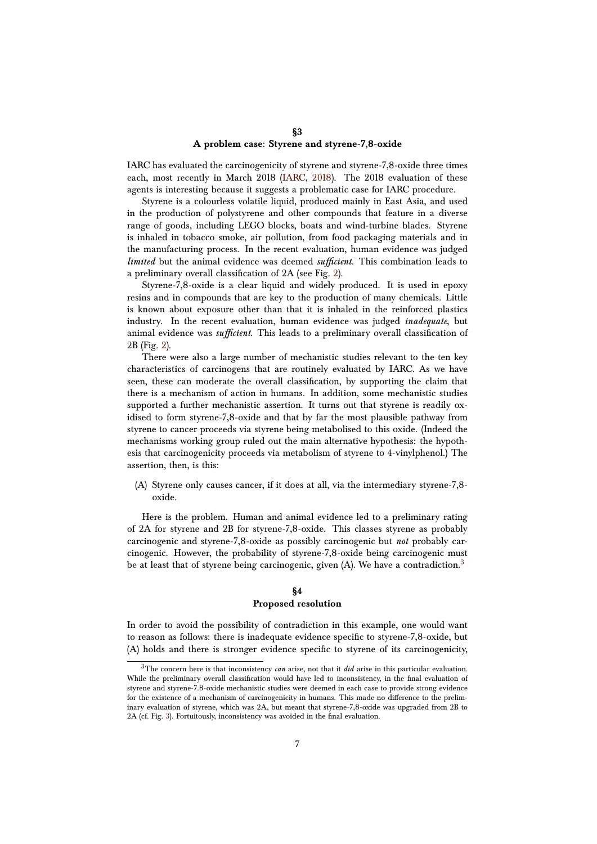### **§3 A problem case: Styrene and styrene-7,8-oxide**

<span id="page-6-0"></span>IARC has evaluated the carcinogenicity of styrene and styrene-7,8-oxide three times each, most recently in March 2018 [\(IARC,](#page-11-8) [2018\)](#page-11-8). The 2018 evaluation of these agents is interesting because it suggests a problematic case for IARC procedure.

Styrene is a colourless volatile liquid, produced mainly in East Asia, and used in the production of polystyrene and other compounds that feature in a diverse range of goods, including LEGO blocks, boats and wind-turbine blades. Styrene is inhaled in tobacco smoke, air pollution, from food packaging materials and in the manufacturing process. In the recent evaluation, human evidence was judged *limited* but the animal evidence was deemed *sufficient*. This combination leads to a preliminary overall classification of 2A (see Fig. [2\)](#page-3-0).

Styrene-7,8-oxide is a clear liquid and widely produced. It is used in epoxy resins and in compounds that are key to the production of many chemicals. Little is known about exposure other than that it is inhaled in the reinforced plastics industry. In the recent evaluation, human evidence was judged *inadequate*, but animal evidence was *sufficient*. This leads to a preliminary overall classification of 2B (Fig. [2\)](#page-3-0).

There were also a large number of mechanistic studies relevant to the ten key characteristics of carcinogens that are routinely evaluated by IARC. As we have seen, these can moderate the overall classification, by supporting the claim that there is a mechanism of action in humans. In addition, some mechanistic studies supported a further mechanistic assertion. It turns out that styrene is readily oxidised to form styrene-7,8-oxide and that by far the most plausible pathway from styrene to cancer proceeds via styrene being metabolised to this oxide. (Indeed the mechanisms working group ruled out the main alternative hypothesis: the hypothesis that carcinogenicity proceeds via metabolism of styrene to 4-vinylphenol.) The assertion, then, is this:

(A) Styrene only causes cancer, if it does at all, via the intermediary styrene-7,8 oxide.

Here is the problem. Human and animal evidence led to a preliminary rating of 2A for styrene and 2B for styrene-7,8-oxide. This classes styrene as probably carcinogenic and styrene-7,8-oxide as possibly carcinogenic but *not* probably carcinogenic. However, the probability of styrene-7,8-oxide being carcinogenic must be at least that of styrene being carcinogenic, given  $(A)$ . We have a contradiction.<sup>[3](#page-6-2)</sup>

### **§4 Proposed resolution**

<span id="page-6-1"></span>In order to avoid the possibility of contradiction in this example, one would want to reason as follows: there is inadequate evidence specific to styrene-7,8-oxide, but (A) holds and there is stronger evidence specific to styrene of its carcinogenicity,

<span id="page-6-2"></span><sup>3</sup>The concern here is that inconsistency *can* arise, not that it *did* arise in this particular evaluation. While the preliminary overall classification would have led to inconsistency, in the final evaluation of styrene and styrene-7.8-oxide mechanistic studies were deemed in each case to provide strong evidence for the existence of a mechanism of carcinogenicity in humans. This made no difference to the preliminary evaluation of styrene, which was 2A, but meant that styrene-7,8-oxide was upgraded from 2B to 2A (cf. Fig. [3\)](#page-4-0). Fortuitously, inconsistency was avoided in the final evaluation.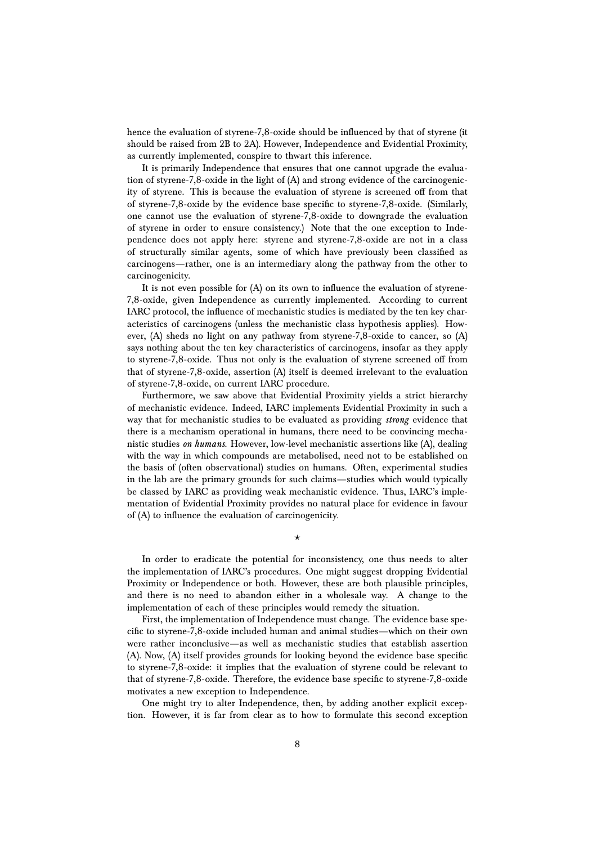hence the evaluation of styrene-7,8-oxide should be influenced by that of styrene (it should be raised from 2B to 2A). However, Independence and Evidential Proximity, as currently implemented, conspire to thwart this inference.

It is primarily Independence that ensures that one cannot upgrade the evaluation of styrene-7,8-oxide in the light of (A) and strong evidence of the carcinogenicity of styrene. This is because the evaluation of styrene is screened off from that of styrene-7,8-oxide by the evidence base specific to styrene-7,8-oxide. (Similarly, one cannot use the evaluation of styrene-7,8-oxide to downgrade the evaluation of styrene in order to ensure consistency.) Note that the one exception to Independence does not apply here: styrene and styrene-7,8-oxide are not in a class of structurally similar agents, some of which have previously been classified as carcinogens—rather, one is an intermediary along the pathway from the other to carcinogenicity.

It is not even possible for (A) on its own to influence the evaluation of styrene-7,8-oxide, given Independence as currently implemented. According to current IARC protocol, the influence of mechanistic studies is mediated by the ten key characteristics of carcinogens (unless the mechanistic class hypothesis applies). However, (A) sheds no light on any pathway from styrene-7,8-oxide to cancer, so (A) says nothing about the ten key characteristics of carcinogens, insofar as they apply to styrene-7,8-oxide. Thus not only is the evaluation of styrene screened off from that of styrene-7,8-oxide, assertion (A) itself is deemed irrelevant to the evaluation of styrene-7,8-oxide, on current IARC procedure.

Furthermore, we saw above that Evidential Proximity yields a strict hierarchy of mechanistic evidence. Indeed, IARC implements Evidential Proximity in such a way that for mechanistic studies to be evaluated as providing *strong* evidence that there is a mechanism operational in humans, there need to be convincing mechanistic studies *on humans*. However, low-level mechanistic assertions like (A), dealing with the way in which compounds are metabolised, need not to be established on the basis of (often observational) studies on humans. Often, experimental studies in the lab are the primary grounds for such claims—studies which would typically be classed by IARC as providing weak mechanistic evidence. Thus, IARC's implementation of Evidential Proximity provides no natural place for evidence in favour of (A) to influence the evaluation of carcinogenicity.

?

In order to eradicate the potential for inconsistency, one thus needs to alter the implementation of IARC's procedures. One might suggest dropping Evidential Proximity or Independence or both. However, these are both plausible principles, and there is no need to abandon either in a wholesale way. A change to the implementation of each of these principles would remedy the situation.

First, the implementation of Independence must change. The evidence base specific to styrene-7,8-oxide included human and animal studies—which on their own were rather inconclusive—as well as mechanistic studies that establish assertion (A). Now, (A) itself provides grounds for looking beyond the evidence base specific to styrene-7,8-oxide: it implies that the evaluation of styrene could be relevant to that of styrene-7,8-oxide. Therefore, the evidence base specific to styrene-7,8-oxide motivates a new exception to Independence.

One might try to alter Independence, then, by adding another explicit exception. However, it is far from clear as to how to formulate this second exception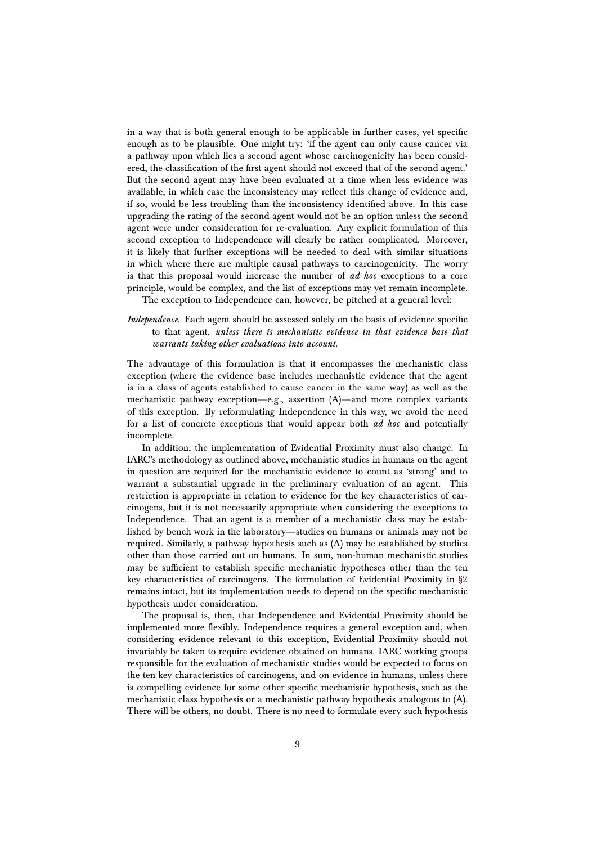in a way that is both general enough to be applicable in further cases, yet specific enough as to be plausible. One might try: 'if the agent can only cause cancer via a pathway upon which lies a second agent whose carcinogenicity has been considered, the classification of the first agent should not exceed that of the second agent.' But the second agent may have been evaluated at a time when less evidence was available, in which case the inconsistency may reflect this change of evidence and, if so, would be less troubling than the inconsistency identified above. In this case upgrading the rating of the second agent would not be an option unless the second agent were under consideration for re-evaluation. Any explicit formulation of this second exception to Independence will clearly be rather complicated. Moreover, it is likely that further exceptions will be needed to deal with similar situations in which where there are multiple causal pathways to carcinogenicity. The worry is that this proposal would increase the number of *ad hoc* exceptions to a core principle, would be complex, and the list of exceptions may yet remain incomplete.

The exception to Independence can, however, be pitched at a general level:

### *Independence.* Each agent should be assessed solely on the basis of evidence specific to that agent, *unless there is mechanistic evidence in that evidence base that warrants taking other evaluations into account*.

The advantage of this formulation is that it encompasses the mechanistic class exception (where the evidence base includes mechanistic evidence that the agent is in a class of agents established to cause cancer in the same way) as well as the mechanistic pathway exception—e.g., assertion (A)—and more complex variants of this exception. By reformulating Independence in this way, we avoid the need for a list of concrete exceptions that would appear both *ad hoc* and potentially incomplete.

In addition, the implementation of Evidential Proximity must also change. In IARC's methodology as outlined above, mechanistic studies in humans on the agent in question are required for the mechanistic evidence to count as 'strong' and to warrant a substantial upgrade in the preliminary evaluation of an agent. This restriction is appropriate in relation to evidence for the key characteristics of carcinogens, but it is not necessarily appropriate when considering the exceptions to Independence. That an agent is a member of a mechanistic class may be established by bench work in the laboratory—studies on humans or animals may not be required. Similarly, a pathway hypothesis such as (A) may be established by studies other than those carried out on humans. In sum, non-human mechanistic studies may be sufficient to establish specific mechanistic hypotheses other than the ten key characteristics of carcinogens. The formulation of Evidential Proximity in [§2](#page-1-0) remains intact, but its implementation needs to depend on the specific mechanistic hypothesis under consideration.

The proposal is, then, that Independence and Evidential Proximity should be implemented more flexibly. Independence requires a general exception and, when considering evidence relevant to this exception, Evidential Proximity should not invariably be taken to require evidence obtained on humans. IARC working groups responsible for the evaluation of mechanistic studies would be expected to focus on the ten key characteristics of carcinogens, and on evidence in humans, unless there is compelling evidence for some other specific mechanistic hypothesis, such as the mechanistic class hypothesis or a mechanistic pathway hypothesis analogous to (A). There will be others, no doubt. There is no need to formulate every such hypothesis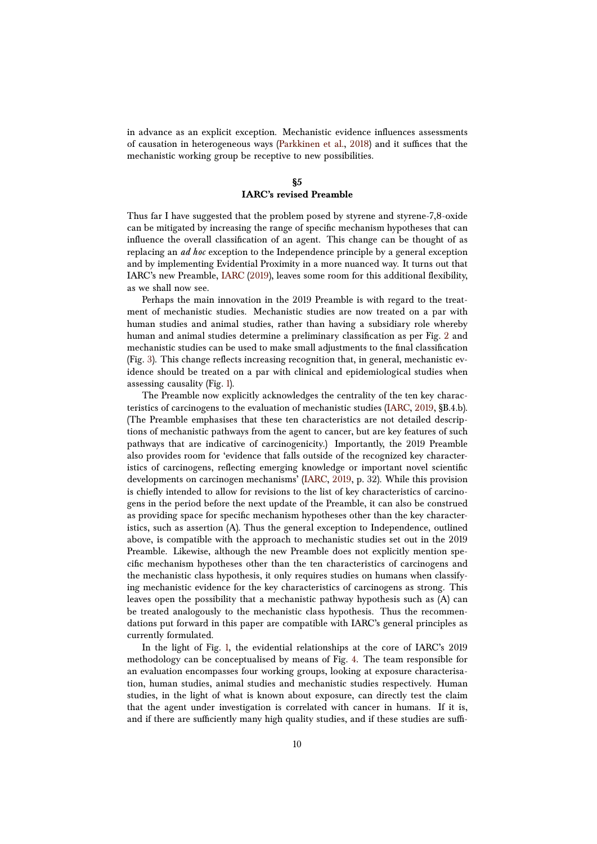in advance as an explicit exception. Mechanistic evidence influences assessments of causation in heterogeneous ways [\(Parkkinen et al.,](#page-11-9) [2018\)](#page-11-9) and it suffices that the mechanistic working group be receptive to new possibilities.

# **§5**

## **IARC's revised Preamble**

<span id="page-9-0"></span>Thus far I have suggested that the problem posed by styrene and styrene-7,8-oxide can be mitigated by increasing the range of specific mechanism hypotheses that can influence the overall classification of an agent. This change can be thought of as replacing an *ad hoc* exception to the Independence principle by a general exception and by implementing Evidential Proximity in a more nuanced way. It turns out that IARC's new Preamble, [IARC](#page-11-1) [\(2019\)](#page-11-1), leaves some room for this additional flexibility, as we shall now see.

Perhaps the main innovation in the 2019 Preamble is with regard to the treatment of mechanistic studies. Mechanistic studies are now treated on a par with human studies and animal studies, rather than having a subsidiary role whereby human and animal studies determine a preliminary classification as per Fig. [2](#page-3-0) and mechanistic studies can be used to make small adjustments to the final classification (Fig. [3\)](#page-4-0). This change reflects increasing recognition that, in general, mechanistic evidence should be treated on a par with clinical and epidemiological studies when assessing causality (Fig. [1\)](#page-2-0).

The Preamble now explicitly acknowledges the centrality of the ten key characteristics of carcinogens to the evaluation of mechanistic studies [\(IARC,](#page-11-1) [2019,](#page-11-1) §B.4.b). (The Preamble emphasises that these ten characteristics are not detailed descriptions of mechanistic pathways from the agent to cancer, but are key features of such pathways that are indicative of carcinogenicity.) Importantly, the 2019 Preamble also provides room for 'evidence that falls outside of the recognized key characteristics of carcinogens, reflecting emerging knowledge or important novel scientific developments on carcinogen mechanisms' [\(IARC,](#page-11-1) [2019,](#page-11-1) p. 32). While this provision is chiefly intended to allow for revisions to the list of key characteristics of carcinogens in the period before the next update of the Preamble, it can also be construed as providing space for specific mechanism hypotheses other than the key characteristics, such as assertion (A). Thus the general exception to Independence, outlined above, is compatible with the approach to mechanistic studies set out in the 2019 Preamble. Likewise, although the new Preamble does not explicitly mention specific mechanism hypotheses other than the ten characteristics of carcinogens and the mechanistic class hypothesis, it only requires studies on humans when classifying mechanistic evidence for the key characteristics of carcinogens as strong. This leaves open the possibility that a mechanistic pathway hypothesis such as (A) can be treated analogously to the mechanistic class hypothesis. Thus the recommendations put forward in this paper are compatible with IARC's general principles as currently formulated.

In the light of Fig. [1,](#page-2-0) the evidential relationships at the core of IARC's 2019 methodology can be conceptualised by means of Fig. [4.](#page-10-0) The team responsible for an evaluation encompasses four working groups, looking at exposure characterisation, human studies, animal studies and mechanistic studies respectively. Human studies, in the light of what is known about exposure, can directly test the claim that the agent under investigation is correlated with cancer in humans. If it is, and if there are sufficiently many high quality studies, and if these studies are suffi-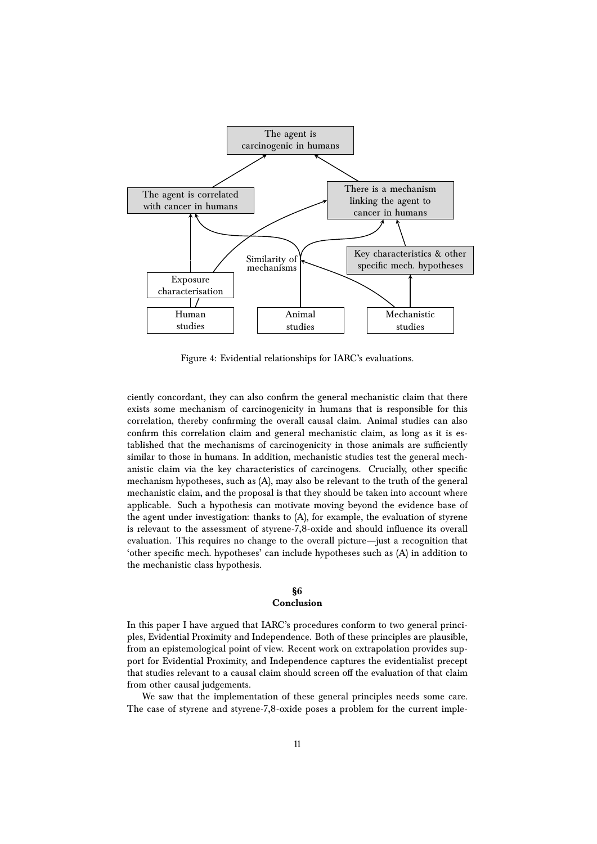

<span id="page-10-0"></span>Figure 4: Evidential relationships for IARC's evaluations.

ciently concordant, they can also confirm the general mechanistic claim that there exists some mechanism of carcinogenicity in humans that is responsible for this correlation, thereby confirming the overall causal claim. Animal studies can also confirm this correlation claim and general mechanistic claim, as long as it is established that the mechanisms of carcinogenicity in those animals are sufficiently similar to those in humans. In addition, mechanistic studies test the general mechanistic claim via the key characteristics of carcinogens. Crucially, other specific mechanism hypotheses, such as (A), may also be relevant to the truth of the general mechanistic claim, and the proposal is that they should be taken into account where applicable. Such a hypothesis can motivate moving beyond the evidence base of the agent under investigation: thanks to (A), for example, the evaluation of styrene is relevant to the assessment of styrene-7,8-oxide and should influence its overall evaluation. This requires no change to the overall picture—just a recognition that 'other specific mech. hypotheses' can include hypotheses such as (A) in addition to the mechanistic class hypothesis.

#### **§6 Conclusion**

## In this paper I have argued that IARC's procedures conform to two general principles, Evidential Proximity and Independence. Both of these principles are plausible, from an epistemological point of view. Recent work on extrapolation provides support for Evidential Proximity, and Independence captures the evidentialist precept that studies relevant to a causal claim should screen off the evaluation of that claim from other causal judgements.

We saw that the implementation of these general principles needs some care. The case of styrene and styrene-7,8-oxide poses a problem for the current imple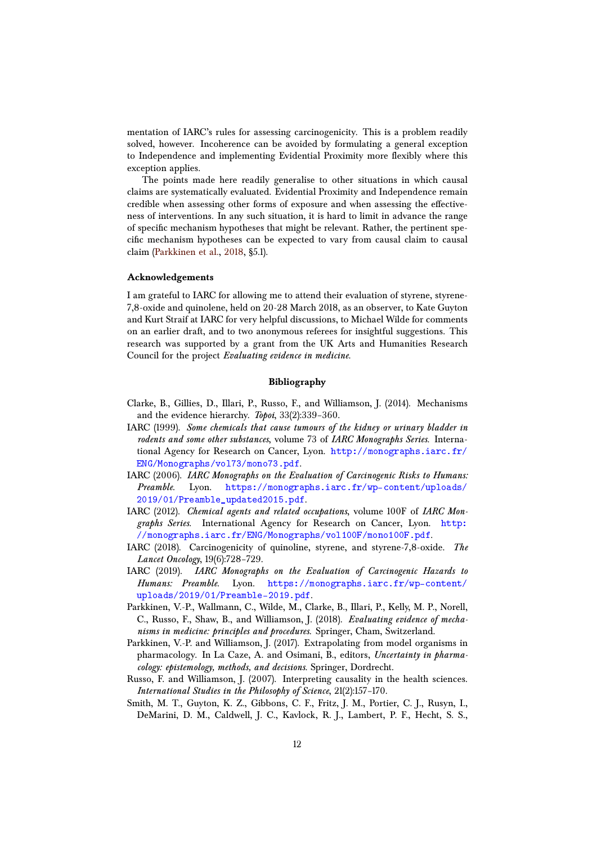mentation of IARC's rules for assessing carcinogenicity. This is a problem readily solved, however. Incoherence can be avoided by formulating a general exception to Independence and implementing Evidential Proximity more flexibly where this exception applies.

The points made here readily generalise to other situations in which causal claims are systematically evaluated. Evidential Proximity and Independence remain credible when assessing other forms of exposure and when assessing the effectiveness of interventions. In any such situation, it is hard to limit in advance the range of specific mechanism hypotheses that might be relevant. Rather, the pertinent specific mechanism hypotheses can be expected to vary from causal claim to causal claim [\(Parkkinen et al.,](#page-11-9) [2018,](#page-11-9) §5.1).

#### **Acknowledgements**

I am grateful to IARC for allowing me to attend their evaluation of styrene, styrene-7,8-oxide and quinolene, held on 20-28 March 2018, as an observer, to Kate Guyton and Kurt Straif at IARC for very helpful discussions, to Michael Wilde for comments on an earlier draft, and to two anonymous referees for insightful suggestions. This research was supported by a grant from the UK Arts and Humanities Research Council for the project *Evaluating evidence in medicine*.

#### **Bibliography**

- <span id="page-11-0"></span>Clarke, B., Gillies, D., Illari, P., Russo, F., and Williamson, J. (2014). Mechanisms and the evidence hierarchy. *Topoi*, 33(2):339–360.
- <span id="page-11-4"></span>IARC (1999). *Some chemicals that cause tumours of the kidney or urinary bladder in rodents and some other substances*, volume 73 of *IARC Monographs Series*. International Agency for Research on Cancer, Lyon. [http://monographs.iarc.fr/](http://monographs.iarc.fr/ENG/Monographs/vol73/mono73.pdf) [ENG/Monographs/vol73/mono73.pdf](http://monographs.iarc.fr/ENG/Monographs/vol73/mono73.pdf).
- <span id="page-11-5"></span>IARC (2006). *IARC Monographs on the Evaluation of Carcinogenic Risks to Humans: Preamble*. Lyon. [https://monographs.iarc.fr/wp-content/uploads/](https://monographs.iarc.fr/wp-content/uploads/2019/01/Preamble_updated2015.pdf) [2019/01/Preamble\\_updated2015.pdf](https://monographs.iarc.fr/wp-content/uploads/2019/01/Preamble_updated2015.pdf).
- <span id="page-11-3"></span>IARC (2012). *Chemical agents and related occupations*, volume 100F of *IARC Mongraphs Series*. International Agency for Research on Cancer, Lyon. [http:](http://monographs.iarc.fr/ENG/Monographs/vol100F/mono100F.pdf) [//monographs.iarc.fr/ENG/Monographs/vol100F/mono100F.pdf](http://monographs.iarc.fr/ENG/Monographs/vol100F/mono100F.pdf).
- <span id="page-11-8"></span>IARC (2018). Carcinogenicity of quinoline, styrene, and styrene-7,8-oxide. *The Lancet Oncology*, 19(6):728–729.
- <span id="page-11-1"></span>IARC (2019). *IARC Monographs on the Evaluation of Carcinogenic Hazards to Humans: Preamble*. Lyon. [https://monographs.iarc.fr/wp-content/](https://monographs.iarc.fr/wp-content/uploads/2019/01/Preamble-2019.pdf) [uploads/2019/01/Preamble-2019.pdf](https://monographs.iarc.fr/wp-content/uploads/2019/01/Preamble-2019.pdf).
- <span id="page-11-9"></span>Parkkinen, V.-P., Wallmann, C., Wilde, M., Clarke, B., Illari, P., Kelly, M. P., Norell, C., Russo, F., Shaw, B., and Williamson, J. (2018). *Evaluating evidence of mechanisms in medicine: principles and procedures*. Springer, Cham, Switzerland.
- <span id="page-11-7"></span>Parkkinen, V.-P. and Williamson, J. (2017). Extrapolating from model organisms in pharmacology. In La Caze, A. and Osimani, B., editors, *Uncertainty in pharmacology: epistemology, methods, and decisions*. Springer, Dordrecht.
- <span id="page-11-2"></span>Russo, F. and Williamson, J. (2007). Interpreting causality in the health sciences. *International Studies in the Philosophy of Science*, 21(2):157–170.
- <span id="page-11-6"></span>Smith, M. T., Guyton, K. Z., Gibbons, C. F., Fritz, J. M., Portier, C. J., Rusyn, I., DeMarini, D. M., Caldwell, J. C., Kavlock, R. J., Lambert, P. F., Hecht, S. S.,